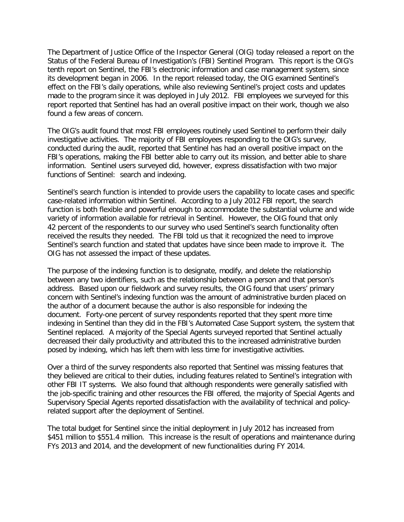The Department of Justice Office of the Inspector General (OIG) today released a report on the Status of the Federal Bureau of Investigation's (FBI) Sentinel Program. This report is the OIG's tenth report on Sentinel, the FBI's electronic information and case management system, since its development began in 2006. In the report released today, the OIG examined Sentinel's effect on the FBI's daily operations, while also reviewing Sentinel's project costs and updates made to the program since it was deployed in July 2012. FBI employees we surveyed for this report reported that Sentinel has had an overall positive impact on their work, though we also found a few areas of concern.

The OIG's audit found that most FBI employees routinely used Sentinel to perform their daily investigative activities. The majority of FBI employees responding to the OIG's survey, conducted during the audit, reported that Sentinel has had an overall positive impact on the FBI's operations, making the FBI better able to carry out its mission, and better able to share information. Sentinel users surveyed did, however, express dissatisfaction with two major functions of Sentinel: search and indexing.

Sentinel's search function is intended to provide users the capability to locate cases and specific case-related information within Sentinel. According to a July 2012 FBI report, the search function is both flexible and powerful enough to accommodate the substantial volume and wide variety of information available for retrieval in Sentinel. However, the OIG found that only 42 percent of the respondents to our survey who used Sentinel's search functionality often received the results they needed. The FBI told us that it recognized the need to improve Sentinel's search function and stated that updates have since been made to improve it. The OIG has not assessed the impact of these updates.

The purpose of the indexing function is to designate, modify, and delete the relationship between any two identifiers, such as the relationship between a person and that person's address. Based upon our fieldwork and survey results, the OIG found that users' primary concern with Sentinel's indexing function was the amount of administrative burden placed on the author of a document because the author is also responsible for indexing the document. Forty-one percent of survey respondents reported that they spent more time indexing in Sentinel than they did in the FBI's Automated Case Support system, the system that Sentinel replaced. A majority of the Special Agents surveyed reported that Sentinel actually decreased their daily productivity and attributed this to the increased administrative burden posed by indexing, which has left them with less time for investigative activities.

Over a third of the survey respondents also reported that Sentinel was missing features that they believed are critical to their duties, including features related to Sentinel's integration with other FBI IT systems. We also found that although respondents were generally satisfied with the job-specific training and other resources the FBI offered, the majority of Special Agents and Supervisory Special Agents reported dissatisfaction with the availability of technical and policyrelated support after the deployment of Sentinel.

The total budget for Sentinel since the initial deployment in July 2012 has increased from \$451 million to \$551.4 million. This increase is the result of operations and maintenance during FYs 2013 and 2014, and the development of new functionalities during FY 2014.